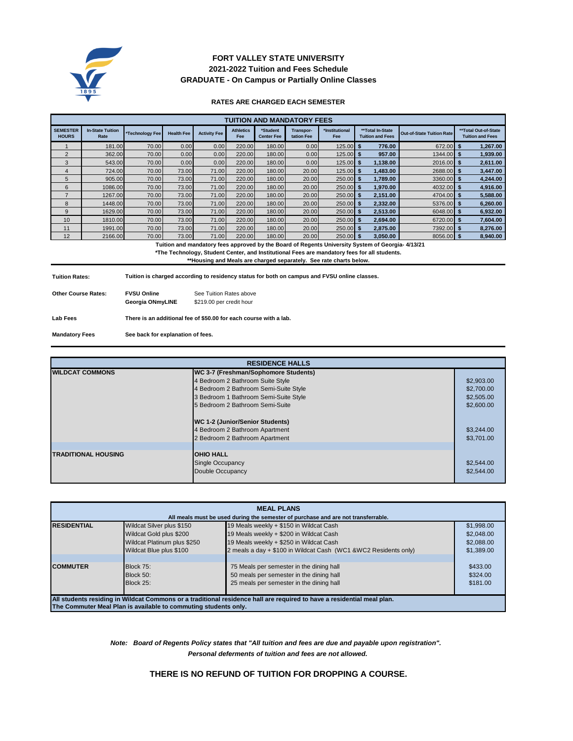

# **2021-2022 Tuition and Fees Schedule FORT VALLEY STATE UNIVERSITY GRADUATE - On Campus or Partially Online Classes**

### **RATES ARE CHARGED EACH SEMESTER**

| <b>TUITION AND MANDATORY FEES</b> |                                 |                 |                   |                     |                         |                               |                         |                       |                                             |                                  |                                                 |
|-----------------------------------|---------------------------------|-----------------|-------------------|---------------------|-------------------------|-------------------------------|-------------------------|-----------------------|---------------------------------------------|----------------------------------|-------------------------------------------------|
| <b>SEMESTER</b><br><b>HOURS</b>   | <b>In-State Tuition</b><br>Rate | *Technology Fee | <b>Health Fee</b> | <b>Activity Fee</b> | <b>Athletics</b><br>Fee | *Student<br><b>Center Fee</b> | Transpor-<br>tation Fee | *Institutional<br>Fee | **Total In-State<br><b>Tuition and Fees</b> | <b>Out-of-State Tuition Rate</b> | **Total Out-of-State<br><b>Tuition and Fees</b> |
|                                   | 181.00                          | 70.00           | 0.00              | 0.00                | 220.00                  | 180.00                        | 0.00                    | $125.00$ \$           | 776.00                                      | 672.00                           | 1.267.00<br>S                                   |
| $\overline{2}$                    | 362.00                          | 70.00           | 0.00              | 0.00                | 220.00                  | 180.00                        | 0.00                    | $125.00$ \$           | 957.00                                      | 1344.00                          | 1,939.00<br>- 5                                 |
| 3                                 | 543.00                          | 70.00           | 0.00              | 0.00                | 220.00                  | 180.00                        | 0.00                    | $125.00$ \$           | 1.138.00                                    | 2016.00                          | 2.611.00<br>- 5                                 |
| 4                                 | 724.00                          | 70.00           | 73.00             | 71.00               | 220.00                  | 180.00                        | 20.00                   | $125.00$ \$           | 1.483.00                                    | 2688.00                          | 3,447.00<br>- 5                                 |
| 5                                 | 905.00                          | 70.00           | 73.00             | 71.00               | 220.00                  | 180.00                        | 20.00                   | $250.00$ \$           | 1,789.00                                    | 3360.00                          | 4,244.00<br>-55                                 |
| 6                                 | 1086.00                         | 70.00           | 73.00             | 71.00               | 220.00                  | 180.00                        | 20.00                   | $250.00$ \$           | 1.970.00                                    | 4032.00                          | 4,916.00<br>- 5                                 |
|                                   | 1267.00                         | 70.00           | 73.00             | 71.00               | 220.00                  | 180.00                        | 20.00                   | $250.00$ \$           | 2,151.00                                    | 4704.00                          | 5,588.00<br>5                                   |
| 8                                 | 1448.00                         | 70.00           | 73.00             | 71.00               | 220.00                  | 180.00                        | 20.00                   | $250.00$ \$           | 2,332.00                                    | 5376.00                          | 6,260.00<br>5                                   |
| 9                                 | 1629.00                         | 70.00           | 73.00             | 71.00               | 220.00                  | 180.00                        | 20.00                   | $250.00$ \$           | 2,513.00                                    | 6048.00                          | 6,932.00<br>5                                   |
| 10                                | 1810.00                         | 70.00           | 73.00             | 71.00               | 220.00                  | 180.00                        | 20.00                   | $250.00$ \$           | 2,694.00                                    | 6720.00                          | 7,604.00<br>5                                   |
| 11                                | 1991.00                         | 70.00           | 73.00             | 71.00               | 220.00                  | 180.00                        | 20.00                   | $250.00$ \$           | 2.875.00                                    | 7392.00                          | 8.276.00<br>5                                   |
| 12                                | 2166.00                         | 70.00           | 73.00             | 71.00               | 220.00                  | 180.00                        | 20.00                   | $250.00$ \$           | 3,050.00                                    | 8056.00                          | 8,940.00<br>- 5                                 |

 **Tuition and mandatory fees approved by the Board of Regents University System of Georgia- 4/13/21**

**\*The Technology, Student Center, and Institutional Fees are mandatory fees for all students.**

**\*\*Housing and Meals are charged separately. See rate charts below.**

**Tuition Rates: Tuition is charged according to residency status for both on campus and FVSU online classes.**

| <b>Other Course Rates:</b> | <b>FVSU Online</b><br>Georgia ONmvLINE | See Tuition Rates above<br>\$219.00 per credit hour               |
|----------------------------|----------------------------------------|-------------------------------------------------------------------|
| <b>Lab Fees</b>            |                                        | There is an additional fee of \$50.00 for each course with a lab. |

**Mandatory Fees See back for explanation of fees.**

| <b>RESIDENCE HALLS</b>     |                                       |            |  |  |
|----------------------------|---------------------------------------|------------|--|--|
| <b>WILDCAT COMMONS</b>     | WC 3-7 (Freshman/Sophomore Students)  |            |  |  |
|                            | 4 Bedroom 2 Bathroom Suite Style      | \$2,903.00 |  |  |
|                            | 4 Bedroom 2 Bathroom Semi-Suite Style | \$2,700.00 |  |  |
|                            | 3 Bedroom 1 Bathroom Semi-Suite Style | \$2,505.00 |  |  |
|                            | 5 Bedroom 2 Bathroom Semi-Suite       | \$2,600.00 |  |  |
|                            | WC 1-2 (Junior/Senior Students)       |            |  |  |
|                            | 4 Bedroom 2 Bathroom Apartment        | \$3,244.00 |  |  |
|                            | 2 Bedroom 2 Bathroom Apartment        | \$3,701.00 |  |  |
|                            |                                       |            |  |  |
| <b>TRADITIONAL HOUSING</b> | <b>IOHIO HALL</b>                     |            |  |  |
|                            | <b>Single Occupancy</b>               | \$2,544.00 |  |  |
|                            | Double Occupancy                      | \$2,544.00 |  |  |
|                            |                                       |            |  |  |

| <b>MEAL PLANS</b>                                                                                                      |                             |                                                                 |            |  |
|------------------------------------------------------------------------------------------------------------------------|-----------------------------|-----------------------------------------------------------------|------------|--|
| All meals must be used during the semester of purchase and are not transferrable.                                      |                             |                                                                 |            |  |
| <b>RESIDENTIAL</b>                                                                                                     | Wildcat Silver plus \$150   | 19 Meals weekly + \$150 in Wildcat Cash                         | \$1,998.00 |  |
|                                                                                                                        | Wildcat Gold plus \$200     | 19 Meals weekly + \$200 in Wildcat Cash                         | \$2,048,00 |  |
|                                                                                                                        | Wildcat Platinum plus \$250 | 19 Meals weekly + \$250 in Wildcat Cash                         | \$2,088,00 |  |
|                                                                                                                        | Wildcat Blue plus \$100     | 2 meals a day + \$100 in Wildcat Cash (WC1 &WC2 Residents only) | \$1,389.00 |  |
|                                                                                                                        |                             |                                                                 |            |  |
| <b>COMMUTER</b>                                                                                                        | Block 75:                   | 75 Meals per semester in the dining hall                        | \$433.00   |  |
|                                                                                                                        | <b>Block 50:</b>            | 50 meals per semester in the dining hall                        | \$324.00   |  |
|                                                                                                                        | Block 25:                   | 25 meals per semester in the dining hall                        | \$181.00   |  |
|                                                                                                                        |                             |                                                                 |            |  |
| All students residing in Wildcat Commons or a traditional residence hall are required to have a residential meal plan. |                             |                                                                 |            |  |
| The Commuter Meal Plan is available to commuting students only.                                                        |                             |                                                                 |            |  |

*Personal deferments of tuition and fees are not allowed. Note: Board of Regents Policy states that "All tuition and fees are due and payable upon registration".* 

**THERE IS NO REFUND OF TUITION FOR DROPPING A COURSE.**